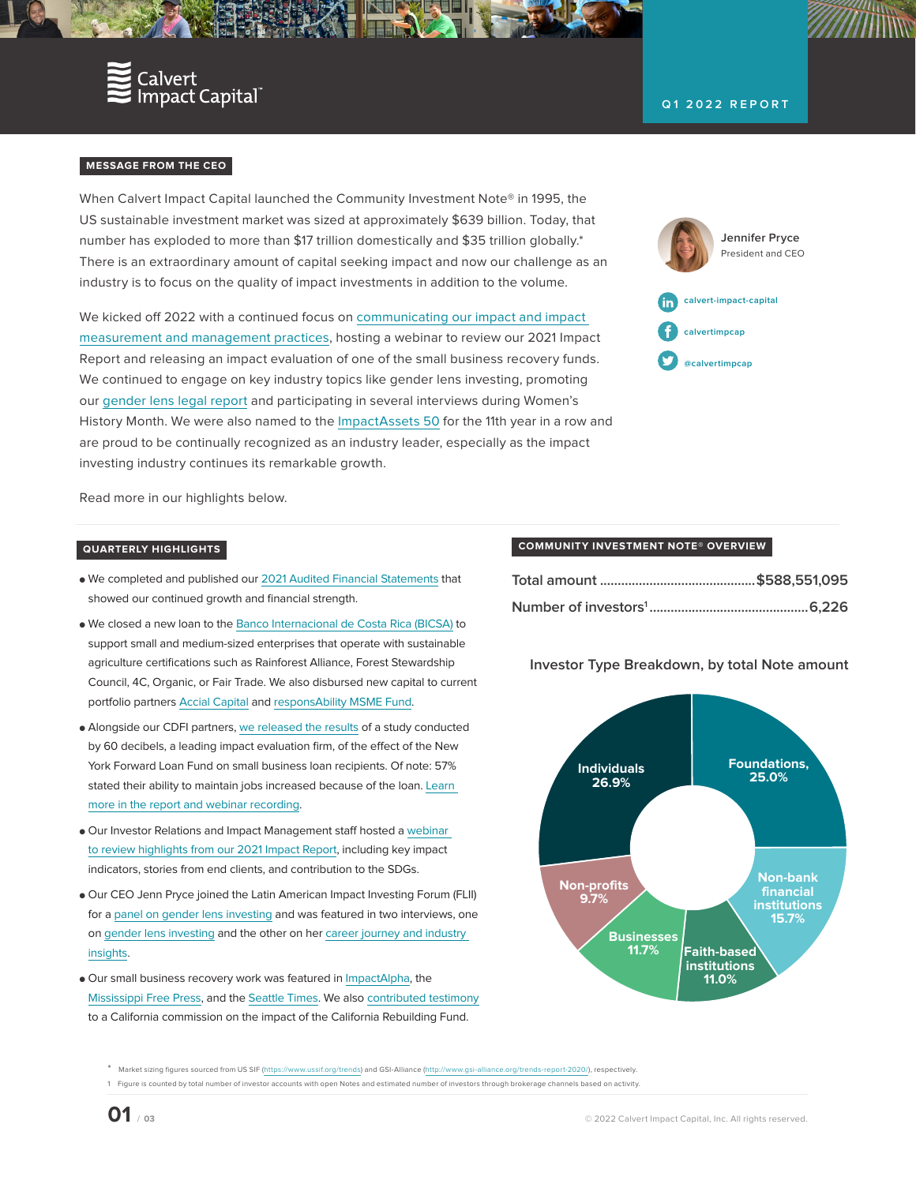

## **Q1 2022 REPORT**

## **MESSAGE FROM THE CEO**

When Calvert Impact Capital launched the Community Investment Note® in 1995, the US sustainable investment market was sized at approximately \$639 billion. Today, that number has exploded to more than \$17 trillion domestically and \$35 trillion globally.\* There is an extraordinary amount of capital seeking impact and now our challenge as an industry is to focus on the quality of impact investments in addition to the volume.

We kicked off 2022 with a continued focus on [communicating our impact and impact](https://calvertimpactcapital.org/imm)  [measurement and management practices](https://calvertimpactcapital.org/imm), hosting a webinar to review our 2021 Impact Report and releasing an impact evaluation of one of the small business recovery funds. We continued to engage on key industry topics like gender lens investing, promoting our [gender lens legal report](https://calvertimpactcapital.org/resources/gender-lens-investing-legal-perspectives) and participating in several interviews during Women's History Month. We were also named to the [ImpactAssets 50](https://twitter.com/calvertimpcap/status/1503770511473582083) for the 11th year in a row and are proud to be continually recognized as an industry leader, especially as the impact investing industry continues its remarkable growth.

**Jennifer Pryce** President and CEO **[calvert-](https://www.linkedin.com/company/calvert-impact-capital/)impact-capital [calvert](http://facebook.com/calvertimpcap)impcap [@calvertimpcap](http://twitter.com/calvertimpcap)**

Read more in our highlights below.

## **QUARTERLY HIGHLIGHTS**

- **●** We completed and published our [2021 Audited Financial Statements](https://assets.ctfassets.net/4oaw9man1yeu/3Hb4PNsmwa3gCe5eQJ6KUO/5240c170c02db1f3aa50918fc9a365dd/Calvert_Impact_Capital_AFS_2021.pdf) that showed our continued growth and financial strength.
- **●** We closed a new loan to the [Banco Internacional de Costa Rica \(BICSA\)](https://calvertimpactcapital.org/investing/partner/bicsa) to support small and medium-sized enterprises that operate with sustainable agriculture certifications such as Rainforest Alliance, Forest Stewardship Council, 4C, Organic, or Fair Trade. We also disbursed new capital to current portfolio partners [Accial Capital](https://calvertimpactcapital.org/investing/partner/accial-capital) and [responsAbility MSME Fund](https://calvertimpactcapital.org/investing/partner/responsability-msme-finance-debt-fund).
- **●** Alongside our CDFI partners, [we released the results](https://calvertimpactcapital.org/resources/inclusive-support-for-small-business-insights-from-the-new-york-forward-loan) of a study conducted by 60 decibels, a leading impact evaluation firm, of the effect of the New York Forward Loan Fund on small business loan recipients. Of note: 57% stated their ability to maintain jobs increased because of the loan. Learn [more in the report and webinar recording](https://calvertimpactcapital.org/resources/inclusive-support-for-small-business-insights-from-the-new-york-forward-loan).
- **●** Our Investor Relations and Impact Management staff hosted a [webinar](https://calvertimpactcapital.org/resources/2021-impact-report-webinar)  [to review highlights from our 2021 Impact Report](https://calvertimpactcapital.org/resources/2021-impact-report-webinar), including key impact indicators, stories from end clients, and contribution to the SDGs.
- **●** Our CEO Jenn Pryce joined the Latin American Impact Investing Forum (FLII) for a [panel on gender lens investing](https://twitter.com/michelleAC1/status/1504614527840751617) and was featured in two interviews, one on [gender lens investing](https://www.gendersmartinvesting.com/gendersmart-blog/from-silos-to-systems-an-interview-with-jenn-pryce) and the other on her [career journey and industry](https://www.phenixcapitalgroup.com/faces-of-impact-blog/jennifer-pryce-calvert-impact-capital)  [insights](https://www.phenixcapitalgroup.com/faces-of-impact-blog/jennifer-pryce-calvert-impact-capital).
- **●** Our small business recovery work was featured in [ImpactAlpha](https://impactalpha.com/how-community-recovery-vehicles-scaled-community-lending-to-ease-pandemic-pain/), the [Mississippi Free Press](https://www.mississippifreepress.org/22076/a-life-saver-starkville-coffee-shop-owner-gets-funding-from-communities-unlimited/), and the [Seattle Times.](https://twitter.com/calvertimpcap/status/1504836021543911444) We also [contributed testimony](https://twitter.com/CALittleHoover/status/1507387524729081858) to a California commission on the impact of the California Rebuilding Fund.

### **COMMUNITY INVESTMENT NOTE® OVERVIEW**

# **Investor Type Breakdown, by total Note amount**



\* Market sizing figures sourced from US SIF (<https://www.ussif.org/trends>) and GSI-Alliance [\(http://www.gsi-alliance.org/trends-report-2020/](http://www.gsi-alliance.org/trends-report-2020/)), respectively.

<sup>1</sup> Figure is counted by total number of investor accounts with open Notes and estimated number of investors through brokerage channels based on activity.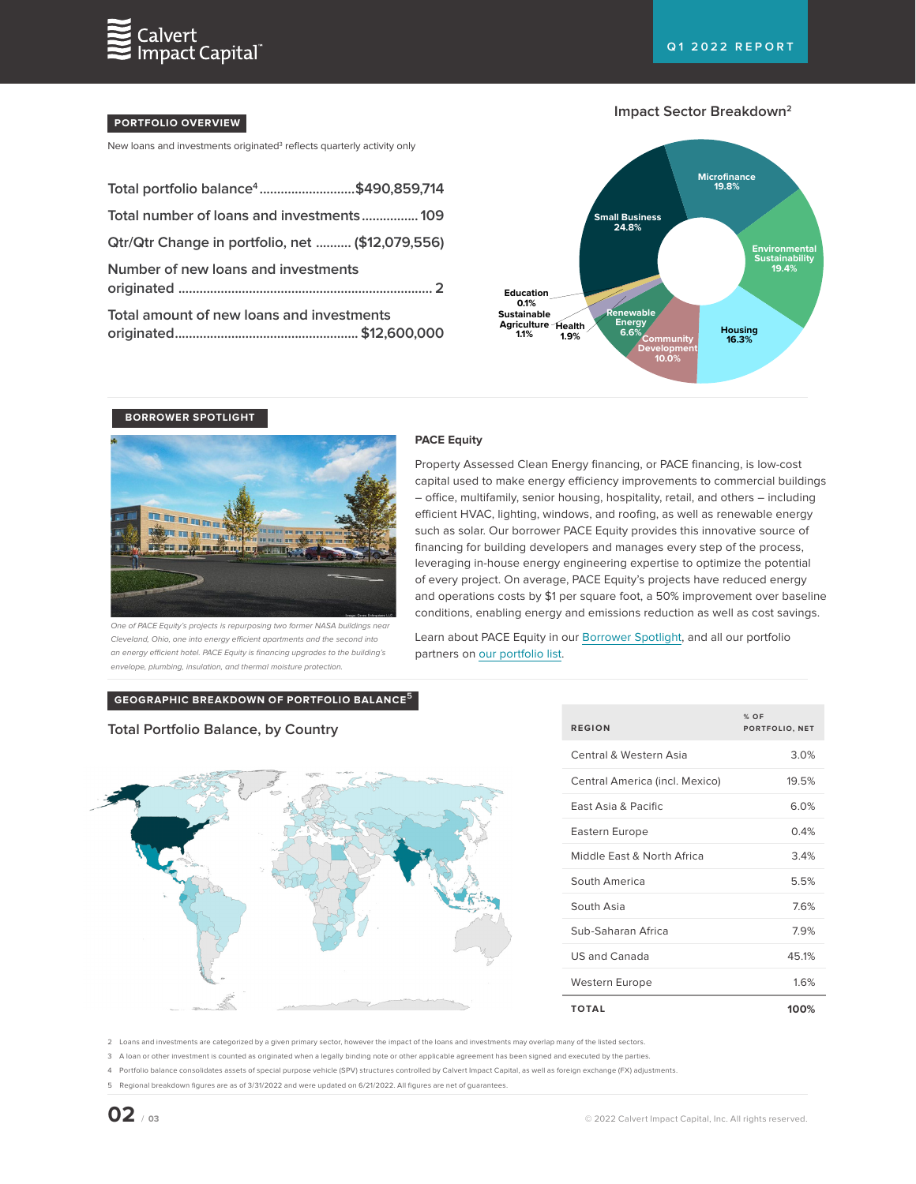

## **PORTFOLIO OVERVIEW**

New loans and investments originated<sup>3</sup> reflects quarterly activity only

| Total portfolio balance <sup>4</sup> \$490,859,714 |  |
|----------------------------------------------------|--|
| Total number of loans and investments 109          |  |
| Qtr/Qtr Change in portfolio, net  (\$12,079,556)   |  |
| Number of new loans and investments                |  |
| Total amount of new loans and investments          |  |





## **BORROWER SPOTLIGHT**



One of PACE Equity's projects is repurposing two former NASA buildings near Cleveland, Ohio, one into energy efficient apartments and the second into an energy efficient hotel. PACE Equity is financing upgrades to the building's envelope, plumbing, insulation, and thermal moisture protection.

#### **PACE Equity**

Property Assessed Clean Energy financing, or PACE financing, is low-cost capital used to make energy efficiency improvements to commercial buildings – office, multifamily, senior housing, hospitality, retail, and others – including efficient HVAC, lighting, windows, and roofing, as well as renewable energy such as solar. Our borrower PACE Equity provides this innovative source of financing for building developers and manages every step of the process, leveraging in-house energy engineering expertise to optimize the potential of every project. On average, PACE Equity's projects have reduced energy and operations costs by \$1 per square foot, a 50% improvement over baseline conditions, enabling energy and emissions reduction as well as cost savings.

Learn about PACE Equity in our [Borrower Spotlight,](https://calvertimpactcapital.org/resources/borrower-spotlight-pace-equity-funds-greener-commercial-buildings-in-the-us) and all our portfolio partners on [our portfolio list.](https://www.calvertimpactcapital.org/portfolio/list)

# **GEOGRAPHIC BREAKDOWN OF PORTFOLIO BALANCE<sup>5</sup>**

# **Total Portfolio Balance, by Country**



| <b>REGION</b>                  | $%$ OF<br>PORTFOLIO, NET |
|--------------------------------|--------------------------|
| Central & Western Asia         | 3.0%                     |
| Central America (incl. Mexico) | 195%                     |
| <b>Fast Asia &amp; Pacific</b> | 6.0%                     |
| Eastern Europe                 | 0.4%                     |
| Middle Fast & North Africa     | 34%                      |
| South America                  | 5.5%                     |
| South Asia                     | 76%                      |
| Sub-Saharan Africa             | 79%                      |
| US and Canada                  | 451%                     |
| Western Europe                 | 16%                      |
| <b>TOTAL</b>                   | 100%                     |

2 Loans and investments are categorized by a given primary sector, however the impact of the loans and investments may overlap many of the listed sectors.

3 A loan or other investment is counted as originated when a legally binding note or other applicable agreement has been signed and executed by the parties.

4 Portfolio balance consolidates assets of special purpose vehicle (SPV) structures controlled by Calvert Impact Capital, as well as foreign exchange (FX) adjustments.

5 Regional breakdown figures are as of 3/31/2022 and were updated on 6/21/2022. All figures are net of guarantees.